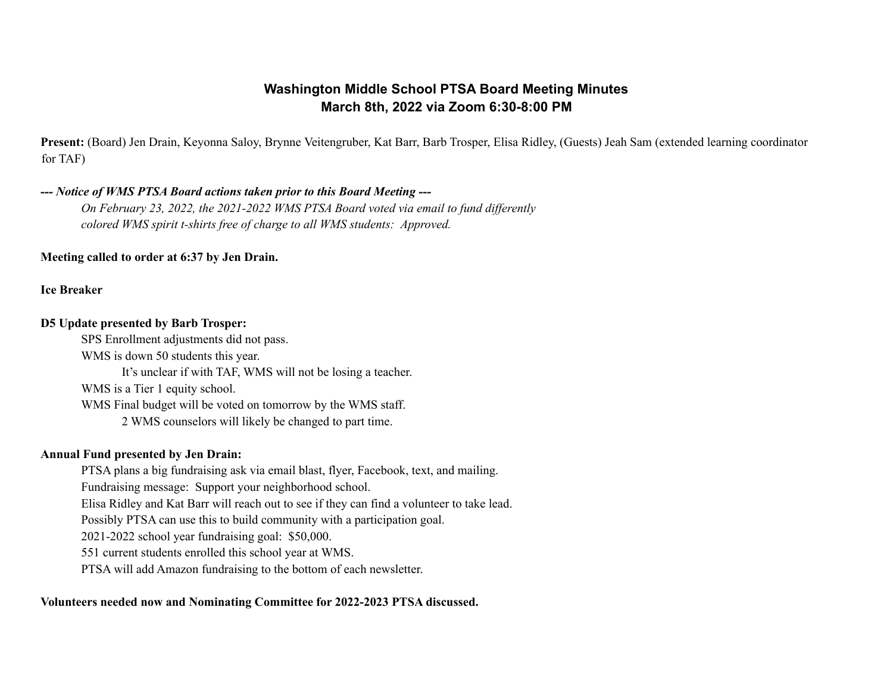# **Washington Middle School PTSA Board Meeting Minutes March 8th, 2022 via Zoom 6:30-8:00 PM**

**Present:** (Board) Jen Drain, Keyonna Saloy, Brynne Veitengruber, Kat Barr, Barb Trosper, Elisa Ridley, (Guests) Jeah Sam (extended learning coordinator for TAF)

### *--- Notice of WMS PTSA Board actions taken prior to this Board Meeting ---*

*On February 23, 2022, the 2021-2022 WMS PTSA Board voted via email to fund dif erently colored WMS spirit t-shirts free of charge to all WMS students: Approved.*

**Meeting called to order at 6:37 by Jen Drain.**

**Ice Breaker**

#### **D5 Update presented by Barb Trosper:**

SPS Enrollment adjustments did not pass. WMS is down 50 students this year. It's unclear if with TAF, WMS will not be losing a teacher. WMS is a Tier 1 equity school. WMS Final budget will be voted on tomorrow by the WMS staff. 2 WMS counselors will likely be changed to part time.

#### **Annual Fund presented by Jen Drain:**

PTSA plans a big fundraising ask via email blast, flyer, Facebook, text, and mailing. Fundraising message: Support your neighborhood school. Elisa Ridley and Kat Barr will reach out to see if they can find a volunteer to take lead. Possibly PTSA can use this to build community with a participation goal. 2021-2022 school year fundraising goal: \$50,000. 551 current students enrolled this school year at WMS. PTSA will add Amazon fundraising to the bottom of each newsletter.

### **Volunteers needed now and Nominating Committee for 2022-2023 PTSA discussed.**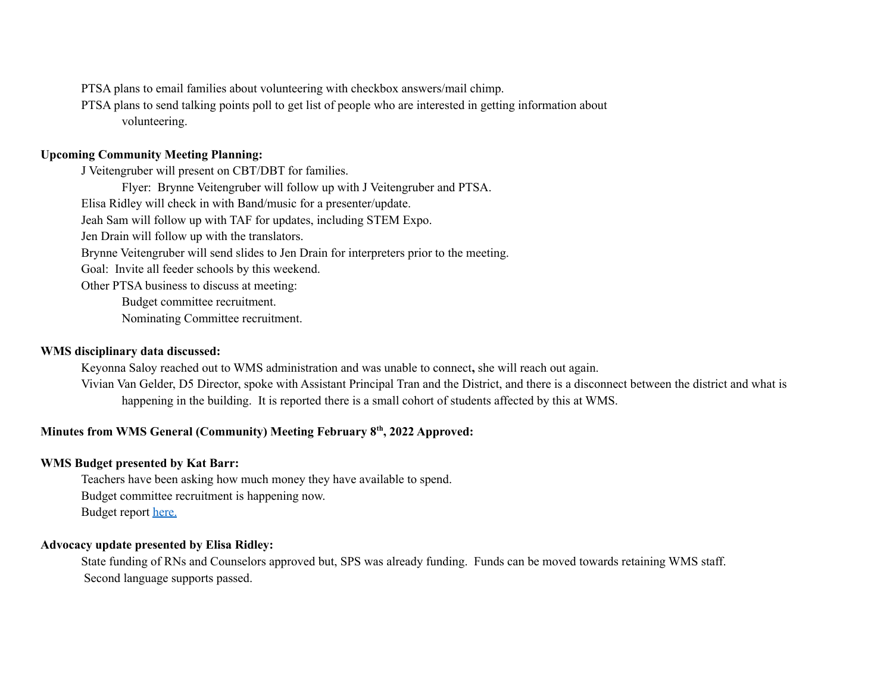PTSA plans to email families about volunteering with checkbox answers/mail chimp.

PTSA plans to send talking points poll to get list of people who are interested in getting information about volunteering.

#### **Upcoming Community Meeting Planning:**

J Veitengruber will present on CBT/DBT for families.

Flyer: Brynne Veitengruber will follow up with J Veitengruber and PTSA.

Elisa Ridley will check in with Band/music for a presenter/update.

Jeah Sam will follow up with TAF for updates, including STEM Expo.

Jen Drain will follow up with the translators.

Brynne Veitengruber will send slides to Jen Drain for interpreters prior to the meeting.

Goal: Invite all feeder schools by this weekend.

Other PTSA business to discuss at meeting:

Budget committee recruitment.

Nominating Committee recruitment.

#### **WMS disciplinary data discussed:**

Keyonna Saloy reached out to WMS administration and was unable to connect**,** she will reach out again.

Vivian Van Gelder, D5 Director, spoke with Assistant Principal Tran and the District, and there is a disconnect between the district and what is happening in the building. It is reported there is a small cohort of students affected by this at WMS.

### **Minutes from WMS General (Community) Meeting February 8 th , 2022 Approved:**

#### **WMS Budget presented by Kat Barr:**

Teachers have been asking how much money they have available to spend. Budget committee recruitment is happening now. Budget report [here.](https://acrobat.adobe.com/link/review?uri=urn:aaid:scds:US:80c4f108-dbd9-35ad-98b7-92c0865ccab9)

# **Advocacy update presented by Elisa Ridley:**

State funding of RNs and Counselors approved but, SPS was already funding. Funds can be moved towards retaining WMS staff. Second language supports passed.